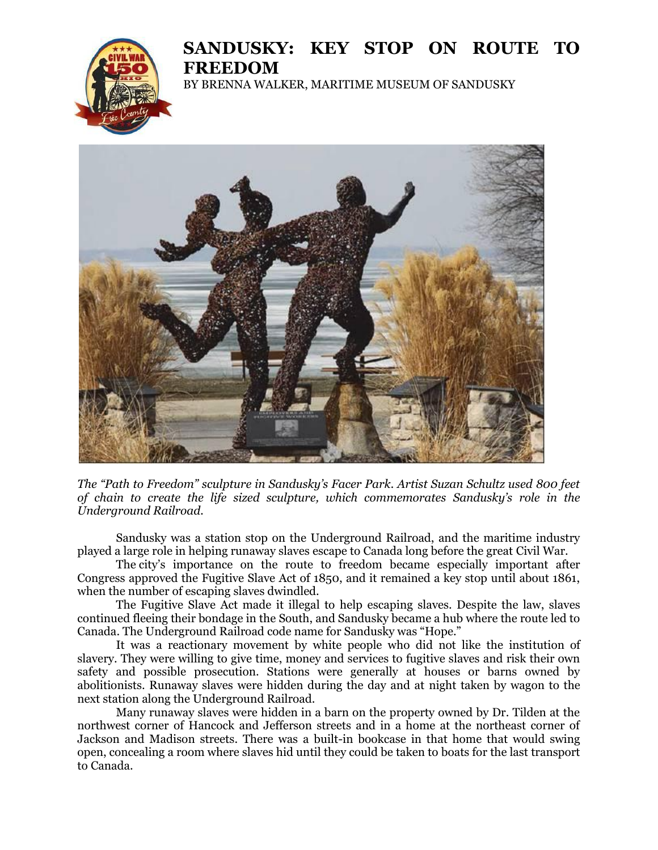## **SANDUSKY: KEY STOP ON ROUTE TO FREEDOM**



BY BRENNA WALKER, MARITIME MUSEUM OF SANDUSKY



*The "Path to Freedom" sculpture in Sandusky's Facer Park. Artist Suzan Schultz used 800 feet of chain to create the life sized sculpture, which commemorates Sandusky's role in the Underground Railroad.*

Sandusky was a station stop on the Underground Railroad, and the maritime industry played a large role in helping runaway slaves escape to Canada long before the great Civil War.

The city's importance on the route to freedom became especially important after Congress approved the Fugitive Slave Act of 1850, and it remained a key stop until about 1861, when the number of escaping slaves dwindled.

The Fugitive Slave Act made it illegal to help escaping slaves. Despite the law, slaves continued fleeing their bondage in the South, and Sandusky became a hub where the route led to Canada. The Underground Railroad code name for Sandusky was "Hope."

It was a reactionary movement by white people who did not like the institution of slavery. They were willing to give time, money and services to fugitive slaves and risk their own safety and possible prosecution. Stations were generally at houses or barns owned by abolitionists. Runaway slaves were hidden during the day and at night taken by wagon to the next station along the Underground Railroad.

Many runaway slaves were hidden in a barn on the property owned by Dr. Tilden at the northwest corner of Hancock and Jefferson streets and in a home at the northeast corner of Jackson and Madison streets. There was a built-in bookcase in that home that would swing open, concealing a room where slaves hid until they could be taken to boats for the last transport to Canada.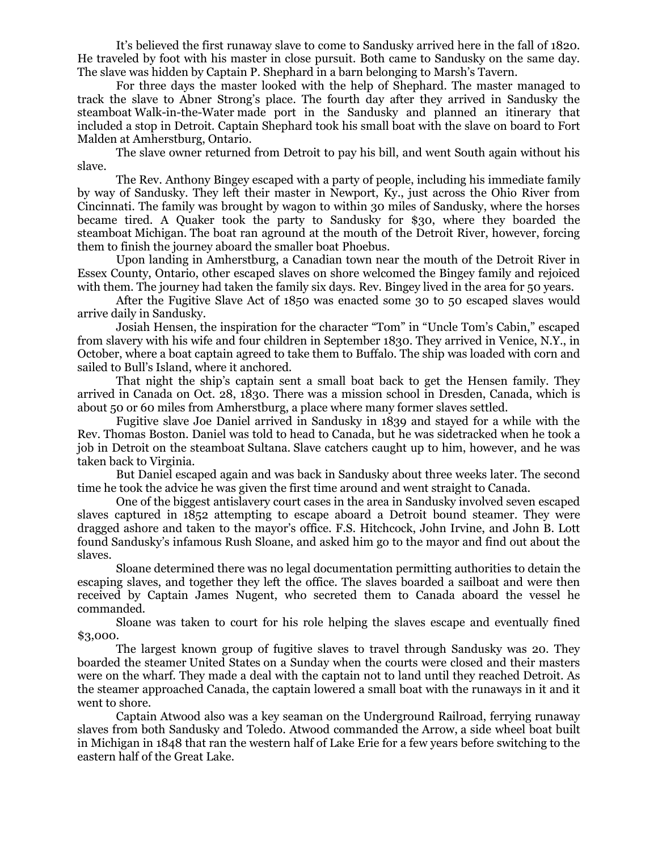It's believed the first runaway slave to come to Sandusky arrived here in the fall of 1820. He traveled by foot with his master in close pursuit. Both came to Sandusky on the same day. The slave was hidden by Captain P. Shephard in a barn belonging to Marsh's Tavern.

For three days the master looked with the help of Shephard. The master managed to track the slave to Abner Strong's place. The fourth day after they arrived in Sandusky the steamboat Walk-in-the-Water made port in the Sandusky and planned an itinerary that included a stop in Detroit. Captain Shephard took his small boat with the slave on board to Fort Malden at Amherstburg, Ontario.

The slave owner returned from Detroit to pay his bill, and went South again without his slave.

The Rev. Anthony Bingey escaped with a party of people, including his immediate family by way of Sandusky. They left their master in Newport, Ky., just across the Ohio River from Cincinnati. The family was brought by wagon to within 30 miles of Sandusky, where the horses became tired. A Quaker took the party to Sandusky for \$30, where they boarded the steamboat Michigan. The boat ran aground at the mouth of the Detroit River, however, forcing them to finish the journey aboard the smaller boat Phoebus.

Upon landing in Amherstburg, a Canadian town near the mouth of the Detroit River in Essex County, Ontario, other escaped slaves on shore welcomed the Bingey family and rejoiced with them. The journey had taken the family six days. Rev. Bingey lived in the area for 50 years.

After the Fugitive Slave Act of 1850 was enacted some 30 to 50 escaped slaves would arrive daily in Sandusky.

Josiah Hensen, the inspiration for the character "Tom" in "Uncle Tom's Cabin," escaped from slavery with his wife and four children in September 1830. They arrived in Venice, N.Y., in October, where a boat captain agreed to take them to Buffalo. The ship was loaded with corn and sailed to Bull's Island, where it anchored.

That night the ship's captain sent a small boat back to get the Hensen family. They arrived in Canada on Oct. 28, 1830. There was a mission school in Dresden, Canada, which is about 50 or 60 miles from Amherstburg, a place where many former slaves settled.

Fugitive slave Joe Daniel arrived in Sandusky in 1839 and stayed for a while with the Rev. Thomas Boston. Daniel was told to head to Canada, but he was sidetracked when he took a job in Detroit on the steamboat Sultana. Slave catchers caught up to him, however, and he was taken back to Virginia.

But Daniel escaped again and was back in Sandusky about three weeks later. The second time he took the advice he was given the first time around and went straight to Canada.

One of the biggest antislavery court cases in the area in Sandusky involved seven escaped slaves captured in 1852 attempting to escape aboard a Detroit bound steamer. They were dragged ashore and taken to the mayor's office. F.S. Hitchcock, John Irvine, and John B. Lott found Sandusky's infamous Rush Sloane, and asked him go to the mayor and find out about the slaves.

Sloane determined there was no legal documentation permitting authorities to detain the escaping slaves, and together they left the office. The slaves boarded a sailboat and were then received by Captain James Nugent, who secreted them to Canada aboard the vessel he commanded.

Sloane was taken to court for his role helping the slaves escape and eventually fined \$3,000.

The largest known group of fugitive slaves to travel through Sandusky was 20. They boarded the steamer United States on a Sunday when the courts were closed and their masters were on the wharf. They made a deal with the captain not to land until they reached Detroit. As the steamer approached Canada, the captain lowered a small boat with the runaways in it and it went to shore.

Captain Atwood also was a key seaman on the Underground Railroad, ferrying runaway slaves from both Sandusky and Toledo. Atwood commanded the Arrow, a side wheel boat built in Michigan in 1848 that ran the western half of Lake Erie for a few years before switching to the eastern half of the Great Lake.